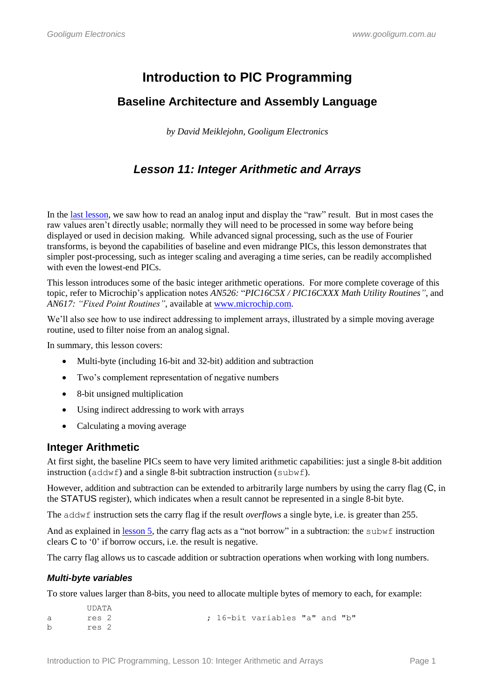# **Introduction to PIC Programming**

# **Baseline Architecture and Assembly Language**

*by David Meiklejohn, Gooligum Electronics*

# *Lesson 11: Integer Arithmetic and Arrays*

In the [last lesson,](http://www.gooligum.com.au/tutorials/baseline/PIC_Base_A_10.pdf) we saw how to read an analog input and display the "raw" result. But in most cases the raw values aren"t directly usable; normally they will need to be processed in some way before being displayed or used in decision making. While advanced signal processing, such as the use of Fourier transforms, is beyond the capabilities of baseline and even midrange PICs, this lesson demonstrates that simpler post-processing, such as integer scaling and averaging a time series, can be readily accomplished with even the lowest-end PICs.

This lesson introduces some of the basic integer arithmetic operations. For more complete coverage of this topic, refer to Microchip"s application notes *AN526:* "*PIC16C5X / PIC16CXXX Math Utility Routines"*, and *AN617: "Fixed Point Routines"*, available at [www.microchip.com.](http://www.microchip.com/)

We'll also see how to use indirect addressing to implement arrays, illustrated by a simple moving average routine, used to filter noise from an analog signal.

In summary, this lesson covers:

- Multi-byte (including 16-bit and 32-bit) addition and subtraction
- Two's complement representation of negative numbers
- 8-bit unsigned multiplication
- Using indirect addressing to work with arrays
- Calculating a moving average

# **Integer Arithmetic**

At first sight, the baseline PICs seem to have very limited arithmetic capabilities: just a single 8-bit addition instruction (addwf) and a single 8-bit subtraction instruction (subwf).

However, addition and subtraction can be extended to arbitrarily large numbers by using the carry flag (C, in the STATUS register), which indicates when a result cannot be represented in a single 8-bit byte.

The addwf instruction sets the carry flag if the result *overflows* a single byte, i.e. is greater than 255.

And as explained in <u>lesson 5</u>, the carry flag acts as a "not borrow" in a subtraction: the subwf instruction clears C to '0' if borrow occurs, i.e. the result is negative.

The carry flag allows us to cascade addition or subtraction operations when working with long numbers.

# *Multi-byte variables*

To store values larger than 8-bits, you need to allocate multiple bytes of memory to each, for example:

```
 UDATA
a res 2 \qquad \qquad ; 16-bit variables "a" and "b"
b res 2
```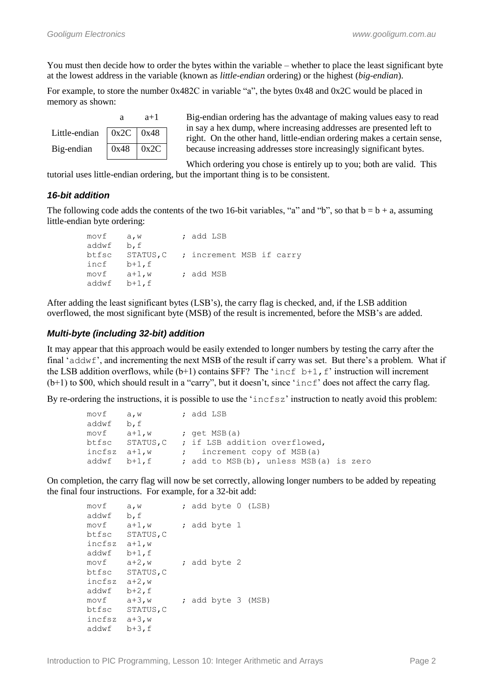You must then decide how to order the bytes within the variable – whether to place the least significant byte at the lowest address in the variable (known as *little-endian* ordering) or the highest (*big-endian*).

For example, to store the number 0x482C in variable "a", the bytes 0x48 and 0x2C would be placed in memory as shown:

|                                         |      | $a+1$ |  |
|-----------------------------------------|------|-------|--|
| Little-endian $\vert$ 0x2C $\vert$ 0x48 |      |       |  |
| Big-endian                              | 0x48 | 0x2C  |  |

Big-endian ordering has the advantage of making values easy to read in say a hex dump, where increasing addresses are presented left to right. On the other hand, little-endian ordering makes a certain sense, because increasing addresses store increasingly significant bytes.

Which ordering you chose is entirely up to you; both are valid. This tutorial uses little-endian ordering, but the important thing is to be consistent.

# *16-bit addition*

The following code adds the contents of the two 16-bit variables, "a" and "b", so that  $b = b + a$ , assuming little-endian byte ordering:

```
 movf a,w ; add LSB
 addwf b,f
 btfsc STATUS,C ; increment MSB if carry
incf b+1, f<br>movf a+1, w
movf a+1,w ; add MSB
 addwf b+1,f
```
After adding the least significant bytes (LSB"s), the carry flag is checked, and, if the LSB addition overflowed, the most significant byte (MSB) of the result is incremented, before the MSB"s are added.

# *Multi-byte (including 32-bit) addition*

It may appear that this approach would be easily extended to longer numbers by testing the carry after the final ' $addwf'$ , and incrementing the next MSB of the result if carry was set. But there's a problem. What if the LSB addition overflows, while (b+1) contains  $\{ SFF\}$  The 'incf b+1, f' instruction will increment (b+1) to \$00, which should result in a "carry", but it doesn"t, since "incf" does not affect the carry flag.

By re-ordering the instructions, it is possible to use the 'incfsz' instruction to neatly avoid this problem:

| movf a,w       |                 | ; add LSB                              |
|----------------|-----------------|----------------------------------------|
| addwf b,f      |                 |                                        |
| $movf$ $a+1,w$ |                 | ; $qet MSB(a)$                         |
|                | btfsc STATUS, C | ; if LSB addition overflowed,          |
| incfsz $a+1,w$ |                 | ; increment copy of MSB(a)             |
|                | addwf b+1,f     | ; add to MSB(b), unless MSB(a) is zero |

On completion, the carry flag will now be set correctly, allowing longer numbers to be added by repeating the final four instructions. For example, for a 32-bit add:

| movf   | a, w      |  |              | ; add byte 0 (LSB) |
|--------|-----------|--|--------------|--------------------|
| addwf  | b, f      |  |              |                    |
| movf   | $a+1$ , w |  | ; add byte 1 |                    |
| btfsc  | STATUS, C |  |              |                    |
| incfsz | $a+1$ , w |  |              |                    |
| addwf  | $b+1$ , f |  |              |                    |
| movf   | $a+2$ , w |  | ; add byte 2 |                    |
| btfsc  | STATUS, C |  |              |                    |
| incfsz | $a+2$ , w |  |              |                    |
| addwf  | $b+2$ , f |  |              |                    |
| movf   | $a+3$ , w |  |              | ; add byte 3 (MSB) |
| btfsc  | STATUS, C |  |              |                    |
| incfsz | $a+3$ , w |  |              |                    |
| addwf  | $b+3$ , f |  |              |                    |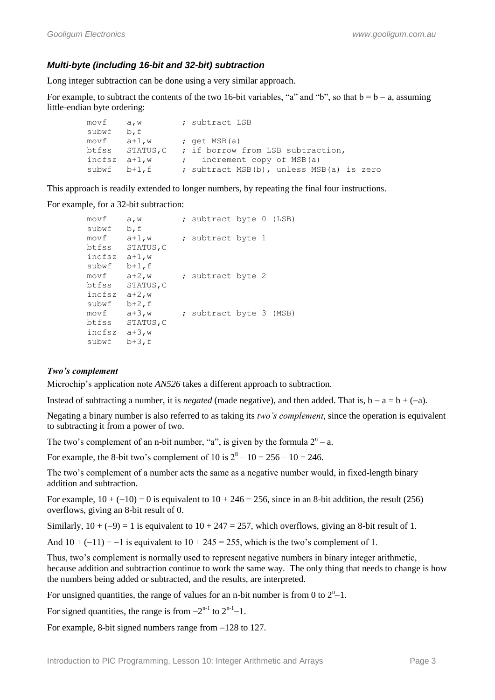# *Multi-byte (including 16-bit and 32-bit) subtraction*

Long integer subtraction can be done using a very similar approach.

For example, to subtract the contents of the two 16-bit variables, "a" and "b", so that  $b = b - a$ , assuming little-endian byte ordering:

```
movf a, w ; subtract LSB
 subwf b,f
movf a+1,w ; get MSB(a)
 btfss STATUS,C ; if borrow from LSB subtraction,
incfsz a+1,w ; increment copy of MSB(a)
subwf b+1, f ; subtract MSB(b), unless MSB(a) is zero
```
This approach is readily extended to longer numbers, by repeating the final four instructions.

For example, for a 32-bit subtraction:

```
movf a, w ; subtract byte 0 (LSB)
 subwf b,f
movf a+1,w ; subtract byte 1
 btfss STATUS,C
 incfsz a+1,w
 subwf b+1,f 
movf a+2, w ; subtract byte 2
\begin{array}{lll} & \mathsf{w}^+ \mathsf{l}_1, \mathsf{f} \\ \mathsf{movf} & \mathsf{a} \mathsf{+} \mathsf{2}, \mathsf{w} \\ \mathsf{bifss} & \mathsf{STATUS,C} \end{array} incfsz a+2,w 
 subwf b+2,f 
movf a+3, w ; subtract byte 3 (MSB)
 btfss STATUS,C 
 incfsz a+3,w 
 subwf b+3,f
```
#### *Two's complement*

Microchip"s application note *AN526* takes a different approach to subtraction.

Instead of subtracting a number, it is *negated* (made negative), and then added. That is,  $b - a = b + (-a)$ .

Negating a binary number is also referred to as taking its *two's complement*, since the operation is equivalent to subtracting it from a power of two.

The two's complement of an n-bit number, "a", is given by the formula  $2<sup>n</sup> - a$ .

For example, the 8-bit two's complement of 10 is  $2^8 - 10 = 256 - 10 = 246$ .

The two"s complement of a number acts the same as a negative number would, in fixed-length binary addition and subtraction.

For example,  $10 + (-10) = 0$  is equivalent to  $10 + 246 = 256$ , since in an 8-bit addition, the result (256) overflows, giving an 8-bit result of 0.

Similarly,  $10 + (-9) = 1$  is equivalent to  $10 + 247 = 257$ , which overflows, giving an 8-bit result of 1.

And  $10 + (-11) = -1$  is equivalent to  $10 + 245 = 255$ , which is the two's complement of 1.

Thus, two"s complement is normally used to represent negative numbers in binary integer arithmetic, because addition and subtraction continue to work the same way. The only thing that needs to change is how the numbers being added or subtracted, and the results, are interpreted.

For unsigned quantities, the range of values for an n-bit number is from 0 to  $2<sup>n</sup>-1$ .

For signed quantities, the range is from  $-2^{n-1}$  to  $2^{n-1}-1$ .

For example, 8-bit signed numbers range from  $-128$  to 127.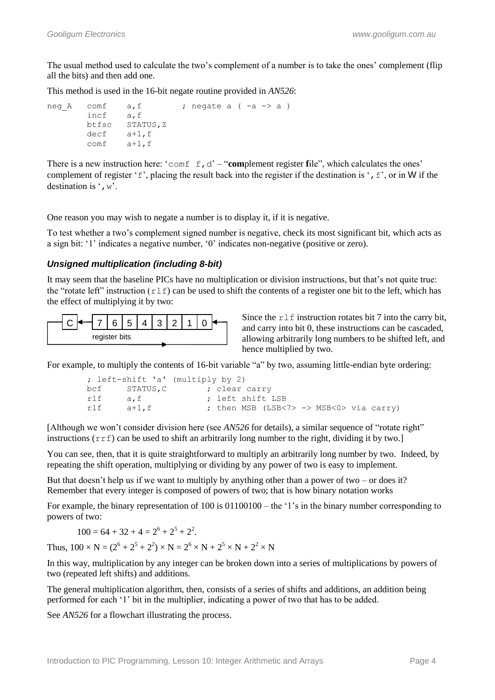The usual method used to calculate the two's complement of a number is to take the ones' complement (flip) all the bits) and then add one.

This method is used in the 16-bit negate routine provided in *AN526*:

```
neg_A comf a, f ; negate a (-a \rightarrow a)<br>incf a, fincf btfsc STATUS,Z
         decf a+1,f
         comf a+1,f
```
There is a new instruction here: ' $\text{conf } f, d' - \text{'component register file''}$ , which calculates the ones' complement of register ' $f'$ , placing the result back into the register if the destination is ',  $f'$ , or in W if the destination is  $\cdot$ , w'.

One reason you may wish to negate a number is to display it, if it is negative.

To test whether a two"s complement signed number is negative, check its most significant bit, which acts as a sign bit: '1' indicates a negative number, '0' indicates non-negative (positive or zero).

#### *Unsigned multiplication (including 8-bit)*

It may seem that the baseline PICs have no multiplication or division instructions, but that"s not quite true: the "rotate left" instruction  $(r \perp f)$  can be used to shift the contents of a register one bit to the left, which has the effect of multiplying it by two:



Since the  $r \perp f$  instruction rotates bit 7 into the carry bit, and carry into bit 0, these instructions can be cascaded, allowing arbitrarily long numbers to be shifted left, and hence multiplied by two.

For example, to multiply the contents of 16-bit variable "a" by two, assuming little-endian byte ordering:

```
 ; left-shift 'a' (multiply by 2)
bcf STATUS, C ; clear carry
rlf a, f ; left shift LSB
rlf a+1, f b ; then MSB (LSB<7> -> MSB<0> via carry)
```
[Although we won"t consider division here (see *AN526* for details), a similar sequence of "rotate right" instructions  $(r \tau f)$  can be used to shift an arbitrarily long number to the right, dividing it by two.]

You can see, then, that it is quite straightforward to multiply an arbitrarily long number by two. Indeed, by repeating the shift operation, multiplying or dividing by any power of two is easy to implement.

But that doesn't help us if we want to multiply by anything other than a power of two – or does it? Remember that every integer is composed of powers of two; that is how binary notation works

For example, the binary representation of  $100$  is  $01100100 -$  the '1's in the binary number corresponding to powers of two:

 $100 = 64 + 32 + 4 = 2^6 + 2^5 + 2^2$ .

Thus,  $100 \times N = (2^6 + 2^5 + 2^2) \times N = 2^6 \times N + 2^5 \times N + 2^2 \times N$ 

In this way, multiplication by any integer can be broken down into a series of multiplications by powers of two (repeated left shifts) and additions.

The general multiplication algorithm, then, consists of a series of shifts and additions, an addition being performed for each "1" bit in the multiplier, indicating a power of two that has to be added.

See *AN526* for a flowchart illustrating the process.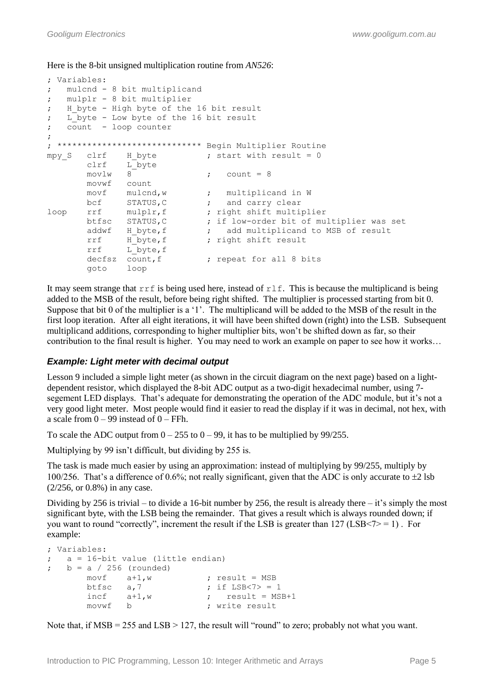Here is the 8-bit unsigned multiplication routine from *AN526*:

```
; Variables:
; mulcnd - 8 bit multiplicand
; mulplr - 8 bit multiplier
; H byte - High byte of the 16 bit result
; L_byte - Low byte of the 16 bit result
; count - loop counter
;
; ***************************** Begin Multiplier Routine
mpy S clrf H byte ; start with result = 0
       clrf L<sup>byte</sup>
       movlw 8 ; count = 8
        movwf count
movf mulcnd,w \qquad \qquad ; \qquad \text{multiplied} \text{ in } Wbcf STATUS, C \qquad ; and carry clear
bcf STATUS, C ; and carry clear<br>loop rrf mulplr, f ; right shift multiplier
        btfsc STATUS,C ; if low-order bit of multiplier was set
                              ; add multiplicand to MSB of result
       addwf H_byte, f ; add multiplicand<br>rrf H_byte, f ; right shift result
        rrf L_byte,f
       decfsz count, f ; repeat for all 8 bits
        goto loop
```
It may seem strange that  $\text{rrf}$  is being used here, instead of  $\text{rlf}$ . This is because the multiplicand is being added to the MSB of the result, before being right shifted. The multiplier is processed starting from bit 0. Suppose that bit 0 of the multiplier is a '1'. The multiplicand will be added to the MSB of the result in the first loop iteration. After all eight iterations, it will have been shifted down (right) into the LSB. Subsequent multiplicand additions, corresponding to higher multiplier bits, won"t be shifted down as far, so their contribution to the final result is higher. You may need to work an example on paper to see how it works…

# *Example: Light meter with decimal output*

Lesson 9 included a simple light meter (as shown in the circuit diagram on the next page) based on a lightdependent resistor, which displayed the 8-bit ADC output as a two-digit hexadecimal number, using 7 segement LED displays. That's adequate for demonstrating the operation of the ADC module, but it's not a very good light meter. Most people would find it easier to read the display if it was in decimal, not hex, with a scale from  $0 - 99$  instead of  $0 - FFh$ .

To scale the ADC output from  $0 - 255$  to  $0 - 99$ , it has to be multiplied by 99/255.

Multiplying by 99 isn't difficult, but dividing by 255 is.

The task is made much easier by using an approximation: instead of multiplying by 99/255, multiply by 100/256. That's a difference of 0.6%; not really significant, given that the ADC is only accurate to  $\pm 2$  lsb (2/256, or 0.8%) in any case.

Dividing by 256 is trivial – to divide a 16-bit number by 256, the result is already there – it's simply the most significant byte, with the LSB being the remainder. That gives a result which is always rounded down; if you want to round "correctly", increment the result if the LSB is greater than  $127$  (LSB $\leq 7$ ). For example:

```
; Variables:
; a = 16-bit value (little endian)
; b = a / 256 (rounded)
         movf a+1,w ; result = MSB<br>btfsc a,7 ; if LSB<7> =
                  a,7 <br>a+1,w ; if LSB<7> = 1<br>a+1,w ; result = MS
         incf a+1,w ; result = MSB+1<br>movwf b ; write result
                                      ; write result
```
Note that, if  $MSB = 255$  and  $LSB > 127$ , the result will "round" to zero; probably not what you want.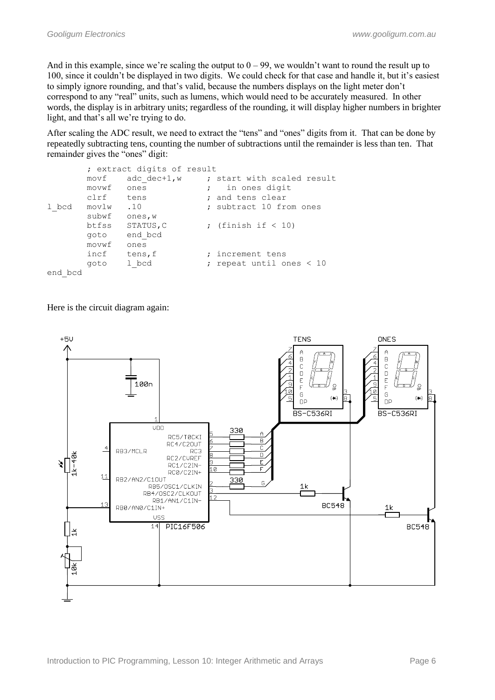And in this example, since we're scaling the output to  $0 - 99$ , we wouldn't want to round the result up to 100, since it couldn't be displayed in two digits. We could check for that case and handle it, but it's easiest to simply ignore rounding, and that"s valid, because the numbers displays on the light meter don"t correspond to any "real" units, such as lumens, which would need to be accurately measured. In other words, the display is in arbitrary units; regardless of the rounding, it will display higher numbers in brighter light, and that's all we're trying to do.

After scaling the ADC result, we need to extract the "tens" and "ones" digits from it. That can be done by repeatedly subtracting tens, counting the number of subtractions until the remainder is less than ten. That remainder gives the "ones" digit:

```
 ; extract digits of result
      movf adc dec+1,w ; start with scaled result
      movwf ones ; in ones digit
      clrf tens ; and tens clear
1 bcd movlw .10 ; subtract 10 from ones
       subwf ones,w
      btfss STATUS, C ; (finish if \langle 10 \rangle goto end_bcd
       movwf ones 
      incf tens, f ; increment tens
       goto l_bcd ; repeat until ones < 10
end_bcd
```
Here is the circuit diagram again:

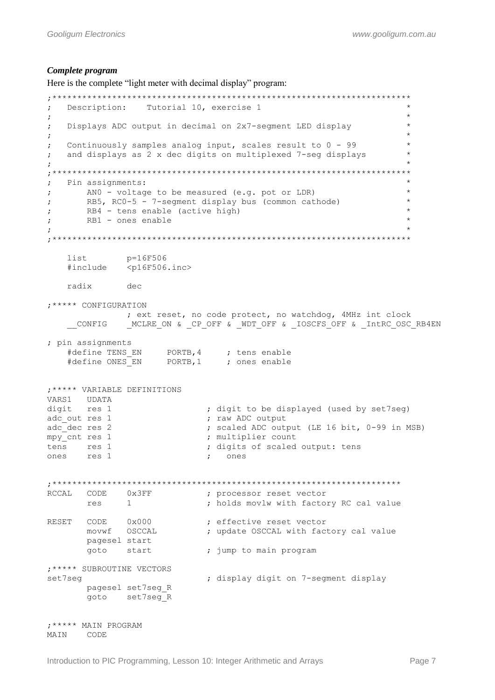#### *Complete program*

Here is the complete "light meter with decimal display" program:

```
;************************************************************************
; Description: Tutorial 10, exercise 1 *
; the contract of the contract of the contract of the contract of the contract of the contract of the contract of the contract of the contract of the contract of the contract of the contract of the contract of the contrac
; Displays ADC output in decimal on 2x7-segment LED display *
; the contract of the contract of the contract of the contract of the contract of the contract of the contract of the contract of the contract of the contract of the contract of the contract of the contract of the contrac
; Continuously samples analog input, scales result to 0 - 99 *
; and displays as 2 x dec digits on multiplexed 7-seg displays *
; the contract of the contract of the contract of the contract of the contract of the contract of the contract of the contract of the contract of the contract of the contract of the contract of the contract of the contrac
;************************************************************************
; Pin assignments: *
; ANO - voltage to be measured (e.g. pot or LDR) *; RB5, RC0-5 - 7-segment display bus (common cathode) *
; RB4 - tens enable (active high) *
; RB1 - ones enable
; the contract of the contract of the contract of the contract of the contract of the contract of the contract of the contract of the contract of the contract of the contract of the contract of the contract of the contrac
;************************************************************************
     list p=16F506 
      #include <p16F506.inc>
     radix dec
;***** CONFIGURATION
                   ; ext reset, no code protect, no watchdog, 4MHz int clock
      __CONFIG _MCLRE_ON & _CP_OFF & _WDT_OFF & _IOSCFS_OFF & _IntRC_OSC_RB4EN
; pin assignments
     #define TENS_EN PORTB,4 ; tens enable
     #define ONES EN PORTB, 1 ; ones enable
;***** VARIABLE DEFINITIONS
VARS1 UDATA
digit res 1 \qquad \qquad ; digit to be displayed (used by set7seg)
adc out res 1 ; raw ADC output
                                    ; scaled ADC output (LE 16 bit, 0-99 in MSB)
adc_dec res 2 <br>mpy_cnt res 1 <br>nultiplier count<br>; multiplier count
tens res 1 \qquad \qquad ; digits of scaled output: tens
ones res 1 \qquad \qquad ; \qquad ones
;**********************************************************************
RCCAL CODE 0x3FF ; processor reset vector
res 1 1 1 ; holds movlw with factory RC cal value
RESET CODE 0x000 ; effective reset vector
movwf OSCCAL \qquad \qquad ; \qquad update OSCCAL with factory cal value
        movwf OSCCAL<br>pagesel start
         goto start : jump to main program
;***** SUBROUTINE VECTORS
set7seq \qquad \qquad ; display digit on 7-segment display
          pagesel set7seg_R 
          goto set7seg_R
;***** MAIN PROGRAM
MAIN CODE
```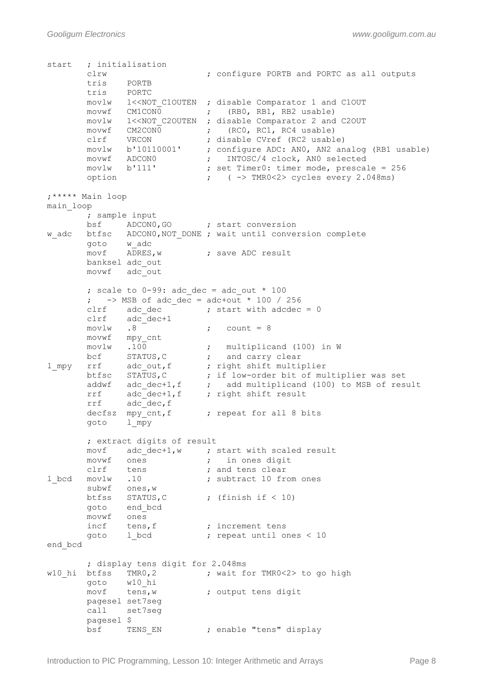*Gooligum Electronics www.gooligum.com.au*

start ; initialisation clrw ; configure PORTB and PORTC as all outputs tris PORTB<br>tris PORTC tris PORTC movlw 1<<NOT C1OUTEN ; disable Comparator 1 and C1OUT movwf CM1CON0 ; (RB0, RB1, RB2 usable) movlw 1<<NOT\_C2OUTEN ; disable Comparator 2 and C2OUT movwf CM2CON0 ; (RCO, RC1, RC4 usable) clrf VRCON ; disable CVref (RC2 usable) movlw b'10110001' ; configure ADC: AN0, AN2 analog (RB1 usable) movwf ADCON0 ; INTOSC/4 clock, ANO selected movlw b'111' ; set Timer0: timer mode, prescale = 256 option ; ( -> TMR0<2> cycles every 2.048ms) ;\*\*\*\*\* Main loop main\_loop ; sample input bsf ADCON0, GO ; start conversion w\_adc btfsc ADCON0,NOT\_DONE ; wait until conversion complete goto w\_adc<br>movf ADRES, w ; save ADC result banksel adc\_out movwf adc\_out ; scale to  $0-99$ : adc dec = adc out \* 100 ;  $\rightarrow$  MSB of adc dec = adc+out \* 100 / 256 clrf adc dec  $\qquad \qquad ;$  start with adcdec = 0 clrf adc\_dec+1  $movlw$  .8 ; count = 8 movwf mpy\_cnt movlw .100 ; multiplicand (100) in W bcf STATUS, C  $\qquad$  ; and carry clear l mpy rrf adc out, f ; right shift multiplier btfsc STATUS,C ; if low-order bit of multiplier was set addwf adc dec+1,f ; add multiplicand (100) to MSB of result rrf adc dec+1,f ; right shift result rrf adc dec, f decfsz  $mpy$ <sub>c</sub>cnt, f ; repeat for all 8 bits goto l\_mpy ; extract digits of result movf adc dec+1,w ; start with scaled result movwf ones **;** in ones digit clrf tens **;** and tens clear 1 bcd movlw .10 ; subtract 10 from ones subwf ones,w btfss STATUS,  $C$  ; (finish if < 10) goto end bcd movwf ones incf tens, f  $\qquad$  ; increment tens goto 1 bcd  $\qquad \qquad ;$  repeat until ones < 10 end\_bcd ; display tens digit for 2.048ms w10\_hi btfss TMR0,2 ; wait for TMR0<2> to go high goto w10\_hi<br>movf tens,w ; output tens digit pagesel set7seg call set7seg pagesel \$ bsf TENS EN ; enable "tens" display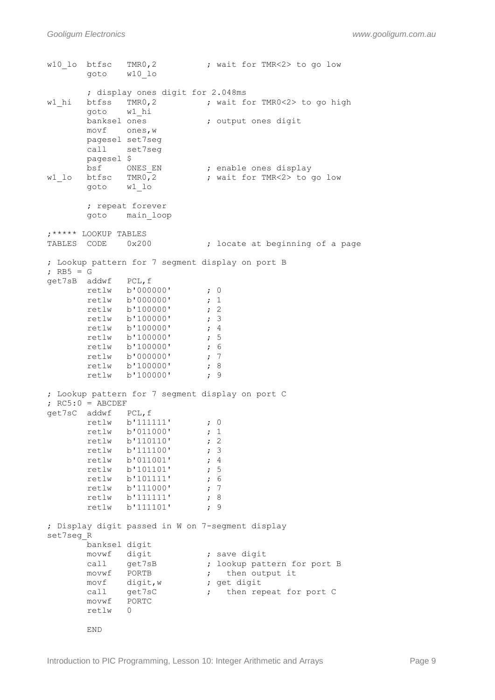w10 lo btfsc TMR0,2 ; wait for TMR<2> to go low goto w10\_lo ; display ones digit for 2.048ms<br>w1 hi btfss TMR0,2 ; wait for w1 hi btfss TMR0,2 ; wait for TMR0<2> to go high goto w1 hi banksel ones (banksel ones digit movf ones,w pagesel set7seg call set7seg pagesel \$ bsf ONES EN ; enable ones display w1\_lo btfsc TMR0,2 ; wait for TMR<2> to go low goto w1\_lo ; repeat forever goto main\_loop ;\*\*\*\*\* LOOKUP TABLES TABLES CODE 0x200 ; locate at beginning of a page ; Lookup pattern for 7 segment display on port B ; RB5 = G get7sB addwf PCL,f retlw b'000000' ; 0<br>retlw b'000000' ; 1 retlw b'000000' ; 1<br>retlw b'100000' ; 2 retlw b'100000' ; 2<br>retlw b'100000' ; 3 retlw b'100000' ; 3<br>retlw b'100000' ; 4 retlw **b'100000'** retlw **b'100000'** ; 5 retlw b'100000' ; 6 retlw b'000000' ; 7 retlw b'100000' ; 8 retlw b'100000' ; 9 ; Lookup pattern for 7 segment display on port C  $; RC5:0 = ABCDEF$ get7sC addwf PCL,f retlw **b'111111'** ; 0 retlw b'011000' ; 1<br>retlw b'110110' ; 2 retlw b'110110' ; 2<br>retlw b'111100' ; 3 retlw b'111100' ; 3<br>retlw b'011001' ; 4 retlw b'011001' retlw b'101101' ; 5 retlw b'101111' ; 6<br>retlw b'111000' : 7 retlw b'111000' retlw b'111111' ; 8<br>retlw b'111101' ; 9 retlw **b'111101'** ; Display digit passed in W on 7-segment display set7seg\_R banksel digit movwf digit **;** save digit call get7sB ; lookup pattern for port B movwf PORTB  $\qquad$ , then output it movf digit,w ; get digit call get7sC **;** then repeat for port C movwf PORTC retlw 0 END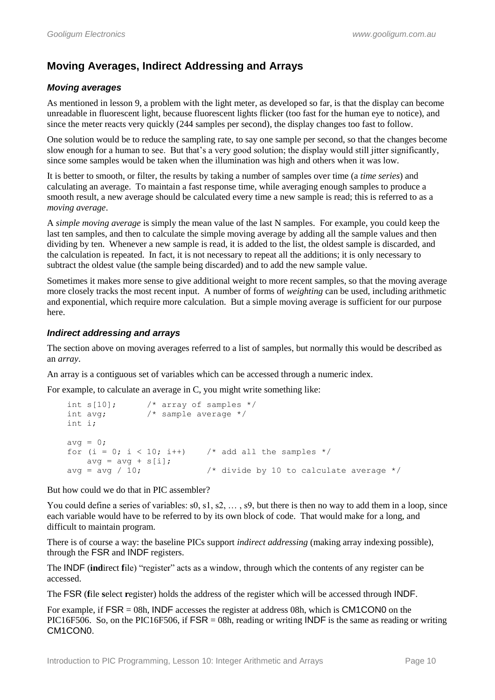# **Moving Averages, Indirect Addressing and Arrays**

# *Moving averages*

As mentioned in lesson 9, a problem with the light meter, as developed so far, is that the display can become unreadable in fluorescent light, because fluorescent lights flicker (too fast for the human eye to notice), and since the meter reacts very quickly (244 samples per second), the display changes too fast to follow.

One solution would be to reduce the sampling rate, to say one sample per second, so that the changes become slow enough for a human to see. But that"s a very good solution; the display would still jitter significantly, since some samples would be taken when the illumination was high and others when it was low.

It is better to smooth, or filter, the results by taking a number of samples over time (a *time series*) and calculating an average. To maintain a fast response time, while averaging enough samples to produce a smooth result, a new average should be calculated every time a new sample is read; this is referred to as a *moving average*.

A *simple moving average* is simply the mean value of the last N samples. For example, you could keep the last ten samples, and then to calculate the simple moving average by adding all the sample values and then dividing by ten. Whenever a new sample is read, it is added to the list, the oldest sample is discarded, and the calculation is repeated. In fact, it is not necessary to repeat all the additions; it is only necessary to subtract the oldest value (the sample being discarded) and to add the new sample value.

Sometimes it makes more sense to give additional weight to more recent samples, so that the moving average more closely tracks the most recent input. A number of forms of *weighting* can be used, including arithmetic and exponential, which require more calculation. But a simple moving average is sufficient for our purpose here.

# *Indirect addressing and arrays*

The section above on moving averages referred to a list of samples, but normally this would be described as an *array*.

An array is a contiguous set of variables which can be accessed through a numeric index.

For example, to calculate an average in C, you might write something like:

```
int s[10]; \frac{1}{x} array of samples */<br>int avg; \frac{1}{x} sample average */
                   /* sample average */int i;
avg = 0;for (i = 0; i < 10; i++) /* add all the samples */
    avg = avg + s[i];avg = avg / 10; \frac{1}{2} /* divide by 10 to calculate average */
```
But how could we do that in PIC assembler?

You could define a series of variables:  $s0, s1, s2, \ldots, s9$ , but there is then no way to add them in a loop, since each variable would have to be referred to by its own block of code. That would make for a long, and difficult to maintain program.

There is of course a way: the baseline PICs support *indirect addressing* (making array indexing possible), through the FSR and INDF registers.

The INDF (**ind**irect **f**ile) "register" acts as a window, through which the contents of any register can be accessed.

The FSR (**f**ile **s**elect **r**egister) holds the address of the register which will be accessed through INDF.

For example, if  $FSR = 08h$ , INDF accesses the register at address 08h, which is CM1CON0 on the PIC16F506. So, on the PIC16F506, if FSR = 08h, reading or writing INDF is the same as reading or writing CM1CON0.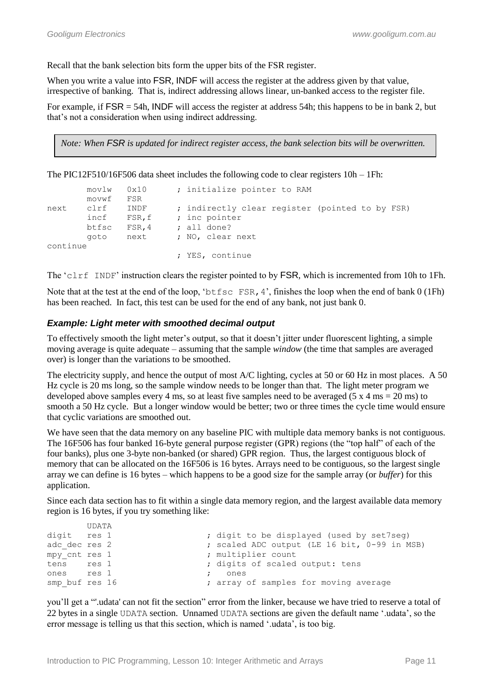Recall that the bank selection bits form the upper bits of the FSR register.

When you write a value into FSR, INDF will access the register at the address given by that value, irrespective of banking. That is, indirect addressing allows linear, un-banked access to the register file.

For example, if  $FSR = 54h$ , INDF will access the register at address 54h; this happens to be in bank 2, but that's not a consideration when using indirect addressing.

*Note: When FSR is updated for indirect register access, the bank selection bits will be overwritten.*

The PIC12F510/16F506 data sheet includes the following code to clear registers  $10h - 1Fh$ :

|          | movlw 0x10 |        | ; initialize pointer to RAM                     |
|----------|------------|--------|-------------------------------------------------|
|          | movwf      | FSR    |                                                 |
| next     | clrf       | INDF   | ; indirectly clear register (pointed to by FSR) |
|          | incf       | FSR, f | ; inc pointer                                   |
|          | btfsc      | FSR, 4 | ; all done?                                     |
|          | aoto       | next   | ; NO, clear next                                |
| continue |            |        |                                                 |
|          |            |        | ; YES, continue                                 |

The 'clrf INDF' instruction clears the register pointed to by FSR, which is incremented from 10h to 1Fh.

Note that at the test at the end of the loop, 'btfsc FSR, 4', finishes the loop when the end of bank 0 (1Fh) has been reached. In fact, this test can be used for the end of any bank, not just bank 0.

#### *Example: Light meter with smoothed decimal output*

To effectively smooth the light meter"s output, so that it doesn"t jitter under fluorescent lighting, a simple moving average is quite adequate – assuming that the sample *window* (the time that samples are averaged over) is longer than the variations to be smoothed.

The electricity supply, and hence the output of most A/C lighting, cycles at 50 or 60 Hz in most places. A 50 Hz cycle is 20 ms long, so the sample window needs to be longer than that. The light meter program we developed above samples every 4 ms, so at least five samples need to be averaged (5 x 4 ms = 20 ms) to smooth a 50 Hz cycle. But a longer window would be better; two or three times the cycle time would ensure that cyclic variations are smoothed out.

We have seen that the data memory on any baseline PIC with multiple data memory banks is not contiguous. The 16F506 has four banked 16-byte general purpose register (GPR) regions (the "top half" of each of the four banks), plus one 3-byte non-banked (or shared) GPR region. Thus, the largest contiguous block of memory that can be allocated on the 16F506 is 16 bytes. Arrays need to be contiguous, so the largest single array we can define is 16 bytes – which happens to be a good size for the sample array (or *buffer*) for this application.

Since each data section has to fit within a single data memory region, and the largest available data memory region is 16 bytes, if you try something like:

|                | <b>UDATA</b> |  |                                              |
|----------------|--------------|--|----------------------------------------------|
| digit res 1    |              |  | ; digit to be displayed (used by set7seq)    |
| adc dec res 2  |              |  | ; scaled ADC output (LE 16 bit, 0-99 in MSB) |
| mpy cnt res 1  |              |  | ; multiplier count                           |
| tens res 1     |              |  | ; digits of scaled output: tens              |
| ones res 1     |              |  | ones                                         |
| smp buf res 16 |              |  | ; array of samples for moving average        |

you"ll get a "'.udata' can not fit the section" error from the linker, because we have tried to reserve a total of 22 bytes in a single UDATA section. Unnamed UDATA sections are given the default name ".udata", so the error message is telling us that this section, which is named ".udata", is too big.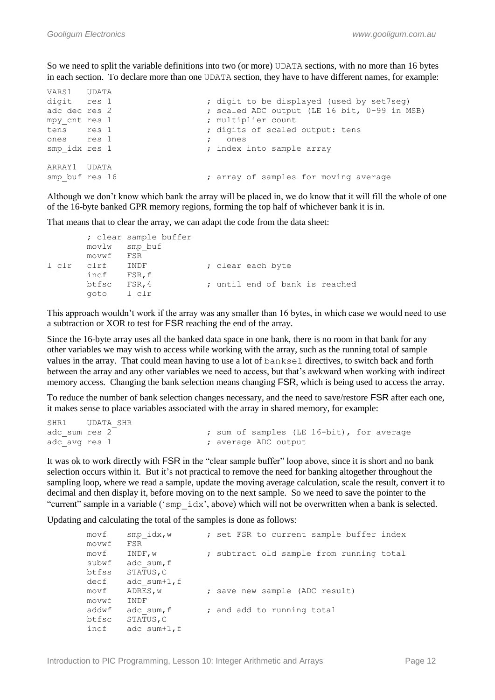So we need to split the variable definitions into two (or more) UDATA sections, with no more than 16 bytes in each section. To declare more than one UDATA section, they have to have different names, for example:

| VARS1 UDATA    |  |                                              |
|----------------|--|----------------------------------------------|
| digit res 1    |  | ; digit to be displayed (used by set7seq)    |
| adc dec res 2  |  | ; scaled ADC output (LE 16 bit, 0-99 in MSB) |
| mpy cnt res 1  |  | ; multiplier count                           |
| tens res 1     |  | ; digits of scaled output: tens              |
| ones res 1     |  | ones                                         |
| smp idx res 1  |  | ; index into sample array                    |
| ARRAY1 UDATA   |  |                                              |
| smp buf res 16 |  | ; array of samples for moving average        |

Although we don"t know which bank the array will be placed in, we do know that it will fill the whole of one of the 16-byte banked GPR memory regions, forming the top half of whichever bank it is in.

That means that to clear the array, we can adapt the code from the data sheet:

```
 ; clear sample buffer
       movlw smp_buf
       movwf FSR
l clr clrf INDF ; clear each byte
       incf FSR,f
       btfsc FSR,4 ; until end of bank is reached
       goto l_clr
```
This approach wouldn't work if the array was any smaller than 16 bytes, in which case we would need to use a subtraction or XOR to test for FSR reaching the end of the array.

Since the 16-byte array uses all the banked data space in one bank, there is no room in that bank for any other variables we may wish to access while working with the array, such as the running total of sample values in the array. That could mean having to use a lot of banksel directives, to switch back and forth between the array and any other variables we need to access, but that"s awkward when working with indirect memory access. Changing the bank selection means changing FSR, which is being used to access the array.

To reduce the number of bank selection changes necessary, and the need to save/restore FSR after each one, it makes sense to place variables associated with the array in shared memory, for example:

```
SHR1 UDATA_SHR
adc sum res 2 ; sum of samples (LE 16-bit), for average
adc_avg res 1 (a) \frac{1}{x} ; average ADC output
```
It was ok to work directly with FSR in the "clear sample buffer" loop above, since it is short and no bank selection occurs within it. But it's not practical to remove the need for banking altogether throughout the sampling loop, where we read a sample, update the moving average calculation, scale the result, convert it to decimal and then display it, before moving on to the next sample. So we need to save the pointer to the "current" sample in a variable ('smp\_idx', above) which will not be overwritten when a bank is selected.

Updating and calculating the total of the samples is done as follows:

| movf  | $smp$ idx, $w$  | ; set FSR to current sample buffer index |
|-------|-----------------|------------------------------------------|
| movwf | FSR             |                                          |
| movf  | INDF, w         | ; subtract old sample from running total |
| subwf | adc sum, f      |                                          |
| btfss | STATUS, C       |                                          |
| decf  | adc sum+1, $f$  |                                          |
| movf  | ADRES, w        | ; save new sample (ADC result)           |
| movwf | INDF            |                                          |
| addwf | adc sum, f      | ; and add to running total               |
| btfsc | STATUS, C       |                                          |
| incf  | adc $sum+1$ , f |                                          |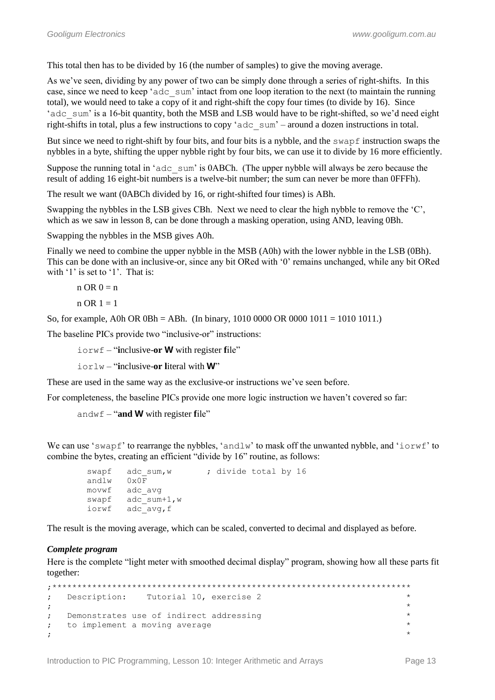This total then has to be divided by 16 (the number of samples) to give the moving average.

As we've seen, dividing by any power of two can be simply done through a series of right-shifts. In this case, since we need to keep 'adc\_sum' intact from one loop iteration to the next (to maintain the running total), we would need to take a copy of it and right-shift the copy four times (to divide by 16). Since 'adc sum' is a 16-bit quantity, both the MSB and LSB would have to be right-shifted, so we'd need eight right-shifts in total, plus a few instructions to copy "adc\_sum" – around a dozen instructions in total.

But since we need to right-shift by four bits, and four bits is a nybble, and the swapf instruction swaps the nybbles in a byte, shifting the upper nybble right by four bits, we can use it to divide by 16 more efficiently.

Suppose the running total in 'adc sum' is 0ABCh. (The upper nybble will always be zero because the result of adding 16 eight-bit numbers is a twelve-bit number; the sum can never be more than 0FFFh).

The result we want (0ABCh divided by 16, or right-shifted four times) is ABh.

Swapping the nybbles in the LSB gives CBh. Next we need to clear the high nybble to remove the "C", which as we saw in lesson 8, can be done through a masking operation, using AND, leaving 0Bh.

Swapping the nybbles in the MSB gives A0h.

Finally we need to combine the upper nybble in the MSB (A0h) with the lower nybble in the LSB (0Bh). This can be done with an inclusive-or, since any bit ORed with "0" remains unchanged, while any bit ORed with '1' is set to '1'. That is:

 $n$  OR  $0 = n$ 

$$
n \text{ OR } 1 = 1
$$

So, for example, A0h OR 0Bh = ABh. (In binary, 1010 0000 OR 0000 1011 = 1010 1011.)

The baseline PICs provide two "inclusive-or" instructions:

iorwf – "**i**nclusive-**or W** with register **f**ile"

iorlw – "**i**nclusive-**or l**iteral with **W**"

These are used in the same way as the exclusive-or instructions we've seen before.

For completeness, the baseline PICs provide one more logic instruction we haven"t covered so far:

```
andwf – "and W with register file"
```
We can use 'swapf' to rearrange the nybbles, 'andlw' to mask off the unwanted nybble, and ' $i$ orwf' to combine the bytes, creating an efficient "divide by 16" routine, as follows:

```
swapf adc sum,w ; divide total by 16
 andlw 0x0F
 movwf adc_avg
swapf adc sum+1,w
iorwf adc avg, f
```
The result is the moving average, which can be scaled, converted to decimal and displayed as before.

# *Complete program*

Here is the complete "light meter with smoothed decimal display" program, showing how all these parts fit together:

```
;************************************************************************
; Description: Tutorial 10, exercise 2 *
; the contract of the contract of the contract of the contract of the contract of the contract of the contract of the contract of the contract of the contract of the contract of the contract of the contract of the contrac
; Demonstrates use of indirect addressing *
; to implement a moving average
, the contract of the contract of the contract of the contract of the contract of the contract of the contract of the contract of the contract of the contract of the contract of the contract of the contract of the contrac
```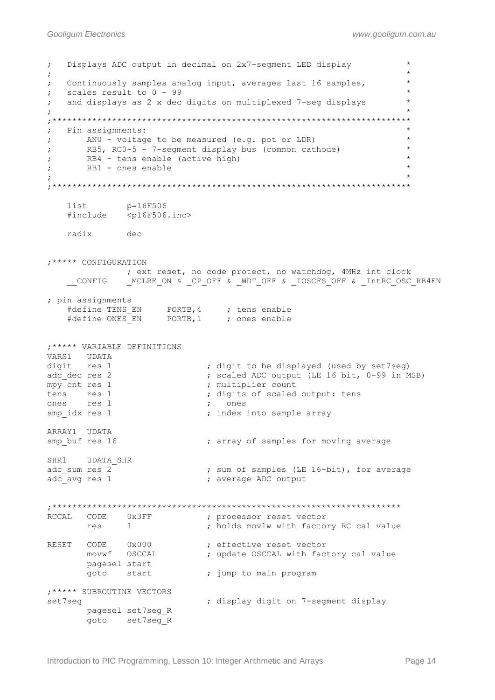```
; Displays ADC output in decimal on 2x7-segment LED display *
; the contract of the contract of the contract of the contract of the contract of the contract of the contract of the contract of the contract of the contract of the contract of the contract of the contract of the contrac
; Continuously samples analog input, averages last 16 samples, *
: scales result to 0 - 99; and displays as 2 x dec digits on multiplexed 7-seg displays *
; the contract of the contract of the contract of the contract of the contract of the contract of the contract of the contract of the contract of the contract of the contract of the contract of the contract of the contrac
;************************************************************************
; Pin assignments: *
; AN0 - voltage to be measured (e.g. pot or LDR) *
; RB5, RC0-5 - 7-segment display bus (common cathode) *
; RB4 - tens enable (active high)
; RB1 - ones enable *
; the contract of the contract of the contract of the contract of the contract of the contract of the contract of the contract of the contract of the contract of the contract of the contract of the contract of the contrac
;************************************************************************
    list p=16F506<br>#include <p16F506.
                <p16F506.inc>
     radix dec
;***** CONFIGURATION
                 ; ext reset, no code protect, no watchdog, 4MHz int clock
     CONFIG ___ MCLRE_ON & CP_OFF & WDT_OFF & _IOSCFS_OFF & _IntRC_OSC_RB4EN
; pin assignments
#define TENS EN PORTB, 4 ; tens enable
#define ONES EN PORTB,1 ; ones enable
;***** VARIABLE DEFINITIONS
VARS1 UDATA
digit res 1 \qquad \qquad ; digit to be displayed (used by set7seg)
                                  ; scaled ADC output (LE 16 bit, 0-99 in MSB)
digit res 1 ; digit to be displ<br>
adc_dec res 2 ; scaled ADC output<br>
mpy_cnt res 1 ; multiplier count<br>
tens res 1 ; digits of scaled<br>
cones res 1
                                  ; digits of scaled output: tens
ones res 1 ; ones
smp idx res 1 ; index into sample array
ARRAY1 UDATA
smp buf res 16 \cdot ; array of samples for moving average
SHR1 UDATA_SHR
adc sum res 2 ; sum of samples (LE 16-bit), for average
adc avg res 1 \qquad \qquad ; average ADC output
;**********************************************************************
RCCAL CODE 0x3FF ; processor reset vector
res 1 1 1 ; holds movlw with factory RC cal value
RESET CODE 0x000 ; effective reset vector
movwf OSCCAL \qquad \qquad ; \qquad update OSCCAL with factory cal value
         pagesel start
        goto start ; jump to main program
;***** SUBROUTINE VECTORS
set7seg ; display digit on 7-segment display
         pagesel set7seg_R 
         goto set7seg_R
```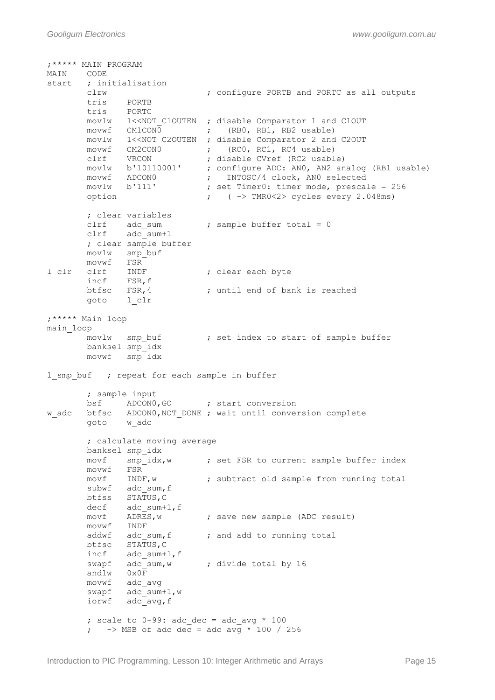```
;***** MAIN PROGRAM
MAIN CODE<br>start ; ini
      ; initialisation
       clrw ; configure PORTB and PORTC as all outputs
       tris PORTB
       tris PORTC
movlw 1<<NOT C1OUTEN ; disable Comparator 1 and C1OUT
movwf CM1CON0 ; (RB0, RB1, RB2 usable)
 movlw 1<<NOT_C2OUTEN ; disable Comparator 2 and C2OUT
movwf CM2CON0 ; (RCO, RC1, RC4 usable)
 clrf VRCON ; disable CVref (RC2 usable)
 movlw b'10110001' ; configure ADC: AN0, AN2 analog (RB1 usable)
 movwf ADCON0 ; INTOSC/4 clock, AN0 selected
movlw b'111' ; set Timer0: timer mode, prescale = 256
       option ; ( -> TMR0<2> cycles every 2.048ms)
       ; clear variables
clrf adc sum  ; sample buffer total = 0
 clrf adc_sum+1
       ; clear sample buffer
       movlw smp_buf
       movwf FSR
l clr clrf INDF ; clear each byte
 incf FSR,f
btfsc FSR, 4 character is reached to the set of the state of bank is reached
       goto l_clr
;***** Main loop
main_loop
      movlw smp_buf ; set index to start of sample buffer
       banksel smp_idx 
       movwf smp_idx
1 smp buf ; repeat for each sample in buffer
       ; sample input
      bsf ADCON0, GO ; start conversion
w adc btfsc ADCON0, NOT DONE ; wait until conversion complete
       goto w_adc
       ; calculate moving average
       banksel smp_idx
      movf smp_idx, w ; set FSR to current sample buffer index
       movwf FSR
      movf INDF, w \qquad ; subtract old sample from running total
      subwf adc sum, f
       btfss STATUS,C
decf adc sum+1, f
movf ADRES, w \qquad ; save new sample (ADC result)
       movwf INDF
      addwf adc_sum, f ; and add to running total
      btfsc STATUS, C
       incf adc_sum+1,f
      swapf adc_sum:1,1<br>swapf adc_sum,w ; divide total by 16
       andlw 0x0F
       movwf adc_avg
swapf adc sum+1,w
iorwf adc avg, f
       ; scale to 0-99: adc dec = adc avg * 100
       ; \rightarrow MSB of adc dec = adc avg * 100 / 256
```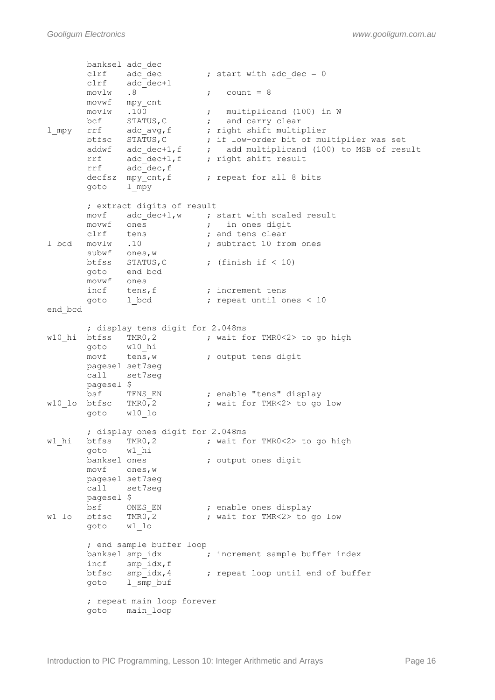banksel adc\_dec clrf  $adc-dec$  ; start with  $adc-dec = 0$ <br>clrf  $adc-dec+1$ adc\_dec+1<br>adc\_dec+1<br>.8  $movlw$  .8 ; count = 8 movwf mpy\_cnt movlw .100 ; multiplicand (100) in W bcf STATUS, C  $\qquad$  ; and carry clear l\_mpy rrf adc\_avg, f ; right shift multiplier btfsc STATUS,C ; if low-order bit of multiplier was set addwf adc dec+1,f  $\qquad$  ; add multiplicand (100) to MSB of result rrf adc dec+1,f ; right shift result rrf adc dec, f decfsz mpy\_cnt,f (epeat for all 8 bits goto l\_mpy ; extract digits of result movf adc\_dec+1,w ; start with scaled result movwf ones  $\qquad \qquad ; \qquad$  in ones digit clrf tens **;** and tens clear 1 bcd movlw .10 ; subtract 10 from ones subwf ones, w btfss STATUS, C ; (finish if < 10) goto end\_bcd movwf ones incf tens, f  $\qquad$  ; increment tens goto 1 bcd  $\qquad \qquad ;$  repeat until ones < 10 end\_bcd ; display tens digit for 2.048ms w10\_hi btfss TMR0,2 ; wait for TMR0<2> to go high<br> $\frac{10 \text{ h}}{2}$ goto w10 hi movf tens,w ; output tens digit pagesel set7seg call set7seg pagesel \$ bsf TENS EN ; enable "tens" display w10 lo btfsc TMR0,2 ; wait for TMR<2> to go low goto w10\_lo ; display ones digit for 2.048ms  $w1$ <sub>\_</sub>hi btfss TMR0,2 ; wait for TMR0<2> to go high goto wl\_hi<br>banksel ones ; output ones digit movf ones,w pagesel set7seg call set7seg pagesel \$ bsf ONES EN ; enable ones display w1 lo btfsc TMR0,2 ; wait for TMR<2> to go low goto w1\_lo ; end sample buffer loop banksel smp\_idx  $\qquad \qquad ;$  increment sample buffer index incf smp idx, f btfsc smp\_idx,4 ; repeat loop until end of buffer goto  $1 \sin p$  buf ; repeat main loop forever goto main\_loop